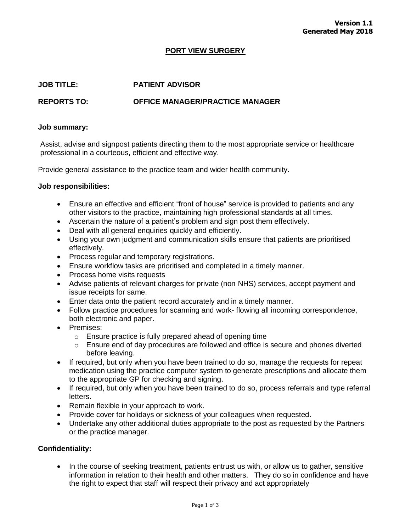## **PORT VIEW SURGERY**

## **JOB TITLE: PATIENT ADVISOR**

# **REPORTS TO: OFFICE MANAGER/PRACTICE MANAGER**

#### **Job summary:**

Assist, advise and signpost patients directing them to the most appropriate service or healthcare professional in a courteous, efficient and effective way.

Provide general assistance to the practice team and wider health community.

## **Job responsibilities:**

- Ensure an effective and efficient "front of house" service is provided to patients and any other visitors to the practice, maintaining high professional standards at all times.
- Ascertain the nature of a patient's problem and sign post them effectively.
- Deal with all general enquiries quickly and efficiently.
- Using your own judgment and communication skills ensure that patients are prioritised effectively.
- Process regular and temporary registrations.
- Ensure workflow tasks are prioritised and completed in a timely manner.
- Process home visits requests
- Advise patients of relevant charges for private (non NHS) services, accept payment and issue receipts for same.
- Enter data onto the patient record accurately and in a timely manner.
- Follow practice procedures for scanning and work- flowing all incoming correspondence, both electronic and paper.
- Premises:
	- o Ensure practice is fully prepared ahead of opening time
	- $\circ$  Ensure end of day procedures are followed and office is secure and phones diverted before leaving.
- If required, but only when you have been trained to do so, manage the requests for repeat medication using the practice computer system to generate prescriptions and allocate them to the appropriate GP for checking and signing.
- If required, but only when you have been trained to do so, process referrals and type referral letters.
- Remain flexible in your approach to work.
- Provide cover for holidays or sickness of your colleagues when requested.
- Undertake any other additional duties appropriate to the post as requested by the Partners or the practice manager.

## **Confidentiality:**

• In the course of seeking treatment, patients entrust us with, or allow us to gather, sensitive information in relation to their health and other matters. They do so in confidence and have the right to expect that staff will respect their privacy and act appropriately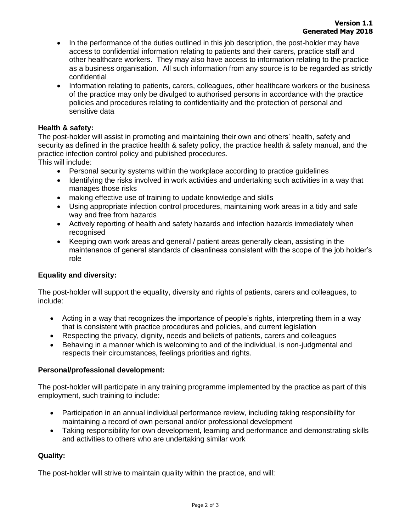- In the performance of the duties outlined in this job description, the post-holder may have access to confidential information relating to patients and their carers, practice staff and other healthcare workers. They may also have access to information relating to the practice as a business organisation. All such information from any source is to be regarded as strictly confidential
- Information relating to patients, carers, colleagues, other healthcare workers or the business of the practice may only be divulged to authorised persons in accordance with the practice policies and procedures relating to confidentiality and the protection of personal and sensitive data

## **Health & safety:**

The post-holder will assist in promoting and maintaining their own and others' health, safety and security as defined in the practice health & safety policy, the practice health & safety manual, and the practice infection control policy and published procedures.

This will include:

- Personal security systems within the workplace according to practice guidelines
- Identifying the risks involved in work activities and undertaking such activities in a way that manages those risks
- making effective use of training to update knowledge and skills
- Using appropriate infection control procedures, maintaining work areas in a tidy and safe way and free from hazards
- Actively reporting of health and safety hazards and infection hazards immediately when recognised
- Keeping own work areas and general / patient areas generally clean, assisting in the maintenance of general standards of cleanliness consistent with the scope of the job holder's role

# **Equality and diversity:**

The post-holder will support the equality, diversity and rights of patients, carers and colleagues, to include:

- Acting in a way that recognizes the importance of people's rights, interpreting them in a way that is consistent with practice procedures and policies, and current legislation
- Respecting the privacy, dignity, needs and beliefs of patients, carers and colleagues
- Behaving in a manner which is welcoming to and of the individual, is non-judgmental and respects their circumstances, feelings priorities and rights.

## **Personal/professional development:**

The post-holder will participate in any training programme implemented by the practice as part of this employment, such training to include:

- Participation in an annual individual performance review, including taking responsibility for maintaining a record of own personal and/or professional development
- Taking responsibility for own development, learning and performance and demonstrating skills and activities to others who are undertaking similar work

## **Quality:**

The post-holder will strive to maintain quality within the practice, and will: